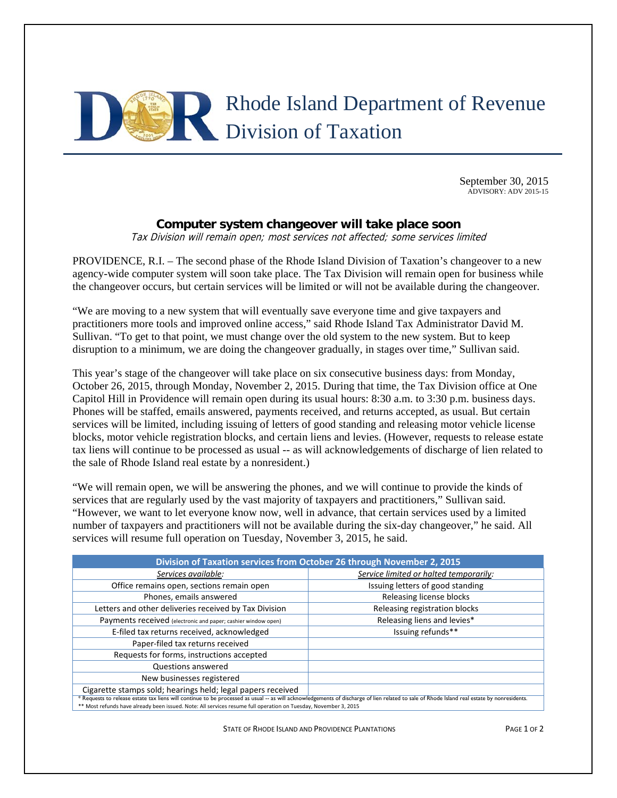

September 30, 2015 ADVISORY: ADV 2015-15

## **Computer system changeover will take place soon**

Tax Division will remain open; most services not affected; some services limited

PROVIDENCE, R.I. – The second phase of the Rhode Island Division of Taxation's changeover to a new agency-wide computer system will soon take place. The Tax Division will remain open for business while the changeover occurs, but certain services will be limited or will not be available during the changeover.

"We are moving to a new system that will eventually save everyone time and give taxpayers and practitioners more tools and improved online access," said Rhode Island Tax Administrator David M. Sullivan. "To get to that point, we must change over the old system to the new system. But to keep disruption to a minimum, we are doing the changeover gradually, in stages over time," Sullivan said.

This year's stage of the changeover will take place on six consecutive business days: from Monday, October 26, 2015, through Monday, November 2, 2015. During that time, the Tax Division office at One Capitol Hill in Providence will remain open during its usual hours: 8:30 a.m. to 3:30 p.m. business days. Phones will be staffed, emails answered, payments received, and returns accepted, as usual. But certain services will be limited, including issuing of letters of good standing and releasing motor vehicle license blocks, motor vehicle registration blocks, and certain liens and levies. (However, requests to release estate tax liens will continue to be processed as usual -- as will acknowledgements of discharge of lien related to the sale of Rhode Island real estate by a nonresident.)

"We will remain open, we will be answering the phones, and we will continue to provide the kinds of services that are regularly used by the vast majority of taxpayers and practitioners," Sullivan said. "However, we want to let everyone know now, well in advance, that certain services used by a limited number of taxpayers and practitioners will not be available during the six-day changeover," he said. All services will resume full operation on Tuesday, November 3, 2015, he said.

| Division of Taxation services from October 26 through November 2, 2015                                                                                                                      |                                        |
|---------------------------------------------------------------------------------------------------------------------------------------------------------------------------------------------|----------------------------------------|
| Services available:                                                                                                                                                                         | Service limited or halted temporarily: |
| Office remains open, sections remain open                                                                                                                                                   | Issuing letters of good standing       |
| Phones, emails answered                                                                                                                                                                     | Releasing license blocks               |
| Letters and other deliveries received by Tax Division                                                                                                                                       | Releasing registration blocks          |
| Payments received (electronic and paper; cashier window open)                                                                                                                               | Releasing liens and levies*            |
| E-filed tax returns received, acknowledged                                                                                                                                                  | Issuing refunds**                      |
| Paper-filed tax returns received                                                                                                                                                            |                                        |
| Requests for forms, instructions accepted                                                                                                                                                   |                                        |
| Questions answered                                                                                                                                                                          |                                        |
| New businesses registered                                                                                                                                                                   |                                        |
| Cigarette stamps sold; hearings held; legal papers received                                                                                                                                 |                                        |
| * Requests to release estate tax liens will continue to be processed as usual -- as will acknowledgements of discharge of lien related to sale of Rhode Island real estate by nonresidents. |                                        |
| ** Most refunds have already been issued. Note: All services resume full operation on Tuesday, November 3, 2015                                                                             |                                        |